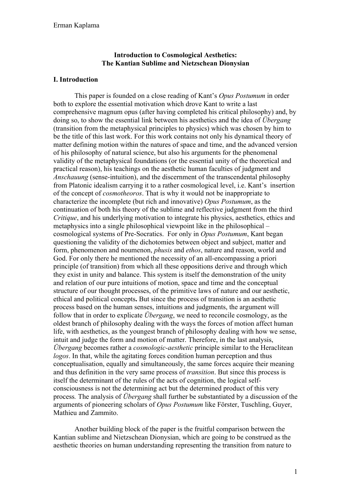### **Introduction to Cosmological Aesthetics: The Kantian Sublime and Nietzschean Dionysian**

#### **I. Introduction**

This paper is founded on a close reading of Kant's *Opus Postumum* in order both to explore the essential motivation which drove Kant to write a last comprehensive magnum opus (after having completed his critical philosophy) and, by doing so, to show the essential link between his aesthetics and the idea of *Übergang* (transition from the metaphysical principles to physics) which was chosen by him to be the title of this last work. For this work contains not only his dynamical theory of matter defining motion within the natures of space and time, and the advanced version of his philosophy of natural science, but also his arguments for the phenomenal validity of the metaphysical foundations (or the essential unity of the theoretical and practical reason), his teachings on the aesthetic human faculties of judgment and *Anschauung* (sense-intuition), and the discernment of the transcendental philosophy from Platonic idealism carrying it to a rather cosmological level, i.e. Kant's insertion of the concept of *cosmotheoros*. That is why it would not be inappropriate to characterize the incomplete (but rich and innovative) *Opus Postumum*, as the continuation of both his theory of the sublime and reflective judgment from the third *Critique*, and his underlying motivation to integrate his physics, aesthetics, ethics and metaphysics into a single philosophical viewpoint like in the philosophical – cosmological systems of Pre-Socratics. For only in *Opus Postumum*, Kant began questioning the validity of the dichotomies between object and subject, matter and form, phenomenon and noumenon, *phusis* and *ethos*, nature and reason, world and God. For only there he mentioned the necessity of an all-encompassing a priori principle (of transition) from which all these oppositions derive and through which they exist in unity and balance. This system is itself the demonstration of the unity and relation of our pure intuitions of motion, space and time and the conceptual structure of our thought processes, of the primitive laws of nature and our aesthetic, ethical and political concepts**.** But since the process of transition is an aesthetic process based on the human senses, intuitions and judgments, the argument will follow that in order to explicate *Übergang*, we need to reconcile cosmology, as the oldest branch of philosophy dealing with the ways the forces of motion affect human life, with aesthetics, as the youngest branch of philosophy dealing with how we sense, intuit and judge the form and motion of matter. Therefore, in the last analysis, *Übergang* becomes rather a *cosmologic-aesthetic* principle similar to the Heraclitean *logos*. In that, while the agitating forces condition human perception and thus conceptualisation, equally and simultaneously, the same forces acquire their meaning and thus definition in the very same process of *transition*. But since this process is itself the determinant of the rules of the acts of cognition, the logical selfconsciousness is not the determining act but the determined product of this very process*.* The analysis of *Übergang* shall further be substantiated by a discussion of the arguments of pioneering scholars of *Opus Postumum* like Förster, Tuschling, Guyer, Mathieu and Zammito.

Another building block of the paper is the fruitful comparison between the Kantian sublime and Nietzschean Dionysian, which are going to be construed as the aesthetic theories on human understanding representing the transition from nature to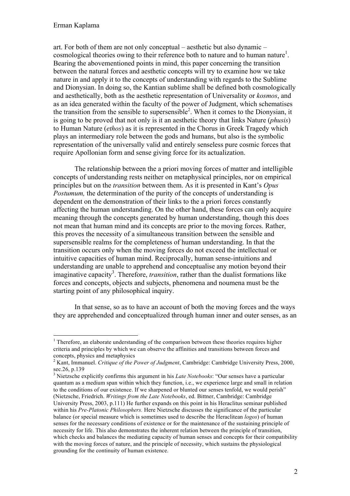art. For both of them are not only conceptual – aesthetic but also dynamic – cosmological theories owing to their reference both to nature and to human nature<sup>1</sup>. Bearing the abovementioned points in mind, this paper concerning the transition between the natural forces and aesthetic concepts will try to examine how we take nature in and apply it to the concepts of understanding with regards to the Sublime and Dionysian. In doing so, the Kantian sublime shall be defined both cosmologically and aesthetically, both as the aesthetic representation of Universality or *kosmos*, and as an idea generated within the faculty of the power of Judgment, which schematises the transition from the sensible to supersensible<sup>2</sup>. When it comes to the Dionysian, it is going to be proved that not only is it an aesthetic theory that links Nature (*phusis*) to Human Nature (*ethos*) as it is represented in the Chorus in Greek Tragedy which plays an intermediary role between the gods and humans, but also is the symbolic representation of the universally valid and entirely senseless pure cosmic forces that require Apollonian form and sense giving force for its actualization.

The relationship between the a priori moving forces of matter and intelligible concepts of understanding rests neither on metaphysical principles, nor on empirical principles but on the *transition* between them. As it is presented in Kant's *Opus Postumum*, the determination of the purity of the concepts of understanding is dependent on the demonstration of their links to the a priori forces constantly affecting the human understanding. On the other hand, these forces can only acquire meaning through the concepts generated by human understanding, though this does not mean that human mind and its concepts are prior to the moving forces. Rather, this proves the necessity of a simultaneous transition between the sensible and supersensible realms for the completeness of human understanding. In that the transition occurs only when the moving forces do not exceed the intellectual or intuitive capacities of human mind. Reciprocally, human sense-intuitions and understanding are unable to apprehend and conceptualise any motion beyond their imaginative capacity<sup>3</sup>. Therefore, *transition*, rather than the dualist formations like forces and concepts, objects and subjects, phenomena and noumena must be the starting point of any philosophical inquiry.

In that sense, so as to have an account of both the moving forces and the ways they are apprehended and conceptualized through human inner and outer senses, as an

<sup>&</sup>lt;sup>1</sup> Therefore, an elaborate understanding of the comparison between these theories requires higher criteria and principles by which we can observe the affinities and transitions between forces and concepts, physics and metaphysics

<sup>2</sup> Kant, Immanuel. *Critique of the Power of Judgment*, Cambridge: Cambridge University Press, 2000, sec.26, p.139

<sup>3</sup> Nietzsche explicitly confirms this argument in his *Late Notebooks*: "Our senses have a particular quantum as a medium span within which they function, i.e., we experience large and small in relation to the conditions of our existence. If we sharpened or blunted our senses tenfold, we would perish" (Nietzsche, Friedrich. *Writings from the Late Notebooks*, ed. Bittner, Cambridge: Cambridge University Press, 2003, p.111) He further expands on this point in his Heraclitus seminar published within his *Pre-Platonic Philosophers.* Here Nietzsche discusses the significance of the particular balance (or special measure which is sometimes used to describe the Heraclitean *logos*) of human senses for the necessary conditions of existence or for the maintenance of the sustaining principle of necessity for life. This also demonstrates the inherent relation between the principle of transition, which checks and balances the mediating capacity of human senses and concepts for their compatibility with the moving forces of nature, and the principle of necessity, which sustains the physiological grounding for the continuity of human existence.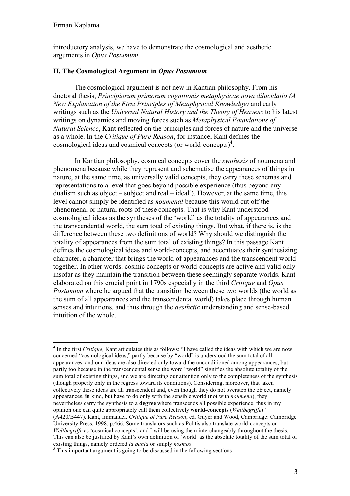introductory analysis, we have to demonstrate the cosmological and aesthetic arguments in *Opus Postumum*.

### **II. The Cosmological Argument in** *Opus Postumum*

The cosmological argument is not new in Kantian philosophy. From his doctoral thesis, *Principiorum primorum cognitionis metaphysicae nova dilucidatio (A New Explanation of the First Principles of Metaphysical Knowledge)* and early writings such as the *Universal Natural History and the Theory of Heavens* to his latest writings on dynamics and moving forces such as *Metaphysical Foundations of Natural Science*, Kant reflected on the principles and forces of nature and the universe as a whole. In the *Critique of Pure Reason*, for instance, Kant defines the cosmological ideas and cosmical concepts (or world-concepts)<sup>4</sup>.

In Kantian philosophy, cosmical concepts cover the *synthesis* of noumena and phenomena because while they represent and schematise the appearances of things in nature, at the same time, as universally valid concepts, they carry these schemas and representations to a level that goes beyond possible experience (thus beyond any dualism such as object – subject and real – ideal<sup>5</sup>). However, at the same time, this level cannot simply be identified as *noumenal* because this would cut off the phenomenal or natural roots of these concepts. That is why Kant understood cosmological ideas as the syntheses of the 'world' as the totality of appearances and the transcendental world, the sum total of existing things. But what, if there is, is the difference between these two definitions of world? Why should we distinguish the totality of appearances from the sum total of existing things? In this passage Kant defines the cosmological ideas and world-concepts, and accentuates their synthesizing character, a character that brings the world of appearances and the transcendent world together. In other words, cosmic concepts or world-concepts are active and valid only insofar as they maintain the transition between these seemingly separate worlds. Kant elaborated on this crucial point in 1790s especially in the third *Critique* and *Opus Postumum* where he argued that the transition between these two worlds (the world as the sum of all appearances and the transcendental world) takes place through human senses and intuitions, and thus through the *aesthetic* understanding and sense-based intuition of the whole.

 <sup>4</sup> In the first *Critique*, Kant articulates this as follows: "I have called the ideas with which we are now concerned "cosmological ideas," partly because by "world" is understood the sum total of all appearances, and our ideas are also directed only toward the unconditioned among appearances, but partly too because in the transcendental sense the word "world" signifies the absolute totality of the sum total of existing things, and we are directing our attention only to the completeness of the synthesis (though properly only in the regress toward its conditions). Considering, moreover, that taken collectively these ideas are all transcendent and, even though they do not overstep the object, namely appearances, **in** kind, but have to do only with the sensible world (not with *noumena*), they nevertheless carry the synthesis to a **degree** where transcends all possible experience; thus in my opinion one can quite appropriately call them collectively **world-concepts** (*Weltbegriffe*)" (A420/B447). Kant, Immanuel. *Critique of Pure Reason*, ed. Guyer and Wood, Cambridge: Cambridge University Press, 1998, p.466. Some translators such as Politis also translate world-concepts or *Weltbegriffe* as 'cosmical concepts', and I will be using them interchangeably throughout the thesis. This can also be justified by Kant's own definition of 'world' as the absolute totality of the sum total of existing things, namely ordered *ta panta* or simply *kosmos*<sup>5</sup> This important argument is going to be discussed in the following sections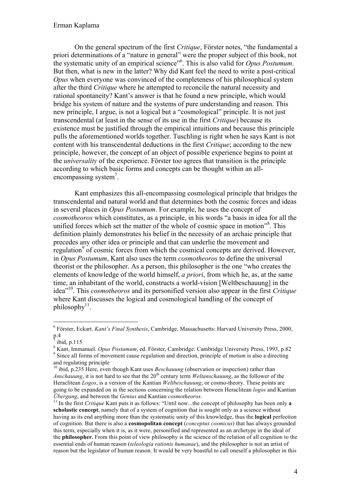On the general spectrum of the first *Critique*, Förster notes, "the fundamental a priori determinations of a "nature in general" were the proper subject of this book, not the systematic unity of an empirical science"<sup>6</sup> . This is also valid for *Opus Postumum*. But then, what is new in the latter? Why did Kant feel the need to write a post-critical *Opus* when everyone was convinced of the completeness of his philosophical system after the third *Critique* where he attempted to reconcile the natural necessity and rational spontaneity? Kant's answer is that he found a new principle, which would bridge his system of nature and the systems of pure understanding and reason. This new principle, I argue, is not a logical but a "cosmological" principle. It is not just transcendental (at least in the sense of its use in the first *Critique*) because its existence must be justified through the empirical intuitions and because this principle pulls the aforementioned worlds together. Tuschling is right when he says Kant is not content with his transcendental deductions in the first *Critique*; according to the new principle, however, the concept of an object of possible experience begins to point at the *universality* of the experience. Förster too agrees that transition is the principle according to which basic forms and concepts can be thought within an allencompassing system<sup>7</sup>.

Kant emphasizes this all-encompassing cosmological principle that bridges the transcendental and natural world and that determines both the cosmic forces and ideas in several places in *Opus Postumum*. For example, he uses the concept of *cosmotheoros* which constitutes, as a principle, in his words "a basis in idea for all the unified forces which set the matter of the whole of cosmic space in motion"<sup>8</sup>. This definition plainly demonstrates his belief in the necessity of an archaic principle that precedes any other idea or principle and that can underlie the movement and regulation<sup>9</sup> of cosmic forces from which the cosmical concepts are derived. However, in *Opus Postumum*, Kant also uses the term *cosmotheoros* to define the universal theorist or the philosopher. As a person, this philosopher is the one "who creates the elements of knowledge of the world himself, *a priori*, from which he, as, at the same time, an inhabitant of the world, constructs a world-vision [Weltbeschauung] in the idea"10. This *cosmotheoros* and its personified version also appear in the first *Critique*  where Kant discusses the logical and cosmological handling of the concept of  $philosophy$ <sup>11</sup>.

 <sup>6</sup> Förster, Eckart. *Kant's Final Synthesis*, Cambridge, Massachusetts: Harvard University Press, 2000, p.4

ibid, p.115

<sup>&</sup>lt;sup>8</sup> Kant, Immanuel. *Opus Postumum*, ed. Förster, Cambridge: Cambridge University Press, 1993, p.82<br><sup>9</sup> Since all forms of movement cause regulation and direction, principle of motion is also a directing and regulating principle

<sup>&</sup>lt;sup>10</sup> ibid, p.235 Here, even though Kant uses *Beschauung* (observation or inspection) rather than *Anschauung*, it is not hard to see that the 20<sup>th</sup> century term *Weltanschauung*, as the follower of the Heraclitean *Logos*, is a version of the Kantian *Weltbeschauung*, or cosmo-theory. These points are going to be expanded on in the sections concerning the relation between Heraclitean *logos* and Kantian *Übergang*, and between the *Genius* and Kantian *cosmotheoros*.<br><sup>11</sup> In the first *Critique* Kant puts it as follows: "Until now...the concept of philosophy has been only **a** 

**scholastic concept**, namely that of a system of cognition that is sought only as a science without having as its end anything more than the systematic unity of this knowledge, thus the **logical** perfection of cognition. But there is also a **cosmopolitan concept** (*conceptus cosmicus*) that has always grounded this term, especially when it is, as it were, personified and represented as an archetype in the ideal of the **philosopher.** From this point of view philosophy is the science of the relation of all cognition to the essential ends of human reason (*teleologia rationis humanae*), and the philosopher is not an artist of reason but the legislator of human reason. It would be very boastful to call oneself a philosopher in this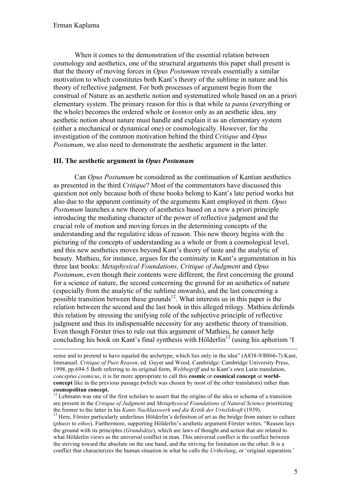When it comes to the demonstration of the essential relation between cosmology and aesthetics, one of the structural arguments this paper shall present is that the theory of moving forces in *Opus Postumum* reveals essentially a similar motivation to which constitutes both Kant's theory of the sublime in nature and his theory of reflective judgment. For both processes of argument begin from the construal of Nature as an aesthetic notion and systematized whole based on an a priori elementary system. The primary reason for this is that while *ta panta* (everything or the whole) becomes the ordered whole or *kosmos* only as an aesthetic idea, any aesthetic notion about nature must handle and explain it as an elementary system (either a mechanical or dynamical one) or cosmologically. However, for the investigation of the common motivation behind the third *Critique* and *Opus Postumum*, we also need to demonstrate the aesthetic argument in the latter.

#### **III. The aesthetic argument in** *Opus Postumum*

Can *Opus Postumum* be considered as the continuation of Kantian aesthetics as presented in the third *Critique*? Most of the commentators have discussed this question not only because both of these books belong to Kant's late period works but also due to the apparent continuity of the arguments Kant employed in them. *Opus Postumum* launches a new theory of aesthetics based on a new a priori principle introducing the mediating character of the power of reflective judgment and the crucial role of motion and moving forces in the determining concepts of the understanding and the regulative ideas of reason. This new theory begins with the picturing of the concepts of understanding as a whole or from a cosmological level, and this new aesthetics moves beyond Kant's theory of taste and the analytic of beauty. Mathieu, for instance, argues for the continuity in Kant's argumentation in his three last books: *Metaphysical Foundations*, *Critique of Judgment* and *Opus Postumum*, even though their contents were different, the first concerning the ground for a science of nature, the second concerning the ground for an aesthetics of nature (especially from the analytic of the sublime onwards), and the last concerning a possible transition between these grounds<sup>12</sup>. What interests us in this paper is the relation between the second and the last book in this alleged trilogy. Mathieu defends this relation by stressing the unifying role of the subjective principle of reflective judgment and thus its indispensable necessity for any aesthetic theory of transition. Even though Förster tries to rule out this argument of Mathieu, he cannot help concluding his book on Kant's final synthesis with Hölderlin<sup>13</sup> (using his aphorism  $I$ 

sense and to pretend to have equaled the archetype, which lies only in the idea" (A838-9/B866-7) Kant, Immanuel. *Critique of Pure Reason*, ed. Guyer and Wood, Cambridge: Cambridge University Press, 1998, pp.694-5 Both referring to its original form, *Weltbegriff* and to Kant's own Latin translation, *conceptus cosmicus*, it is far more appropriate to call this **cosmic** or **cosmical concept** or **worldconcept** like in the previous passage **(**which was chosen by most of the other translators) rather than **cosmopolitan concept.** 

<sup>&</sup>lt;sup>12</sup> Lehmann was one of the first scholars to assert that the origins of the idea or schema of a transition are present in the *Critique of Judgment* and *Metaphysical Foundations of Natural Science* prioritizing the former to the latter in his *Kants Nachlasswerk und die Kritik der Urteilskraft* (1939).<br><sup>13</sup> Here, Förster particularly underlines Hölderlin's definition of art as the bridge from nature to culture

<sup>(</sup>*phusis* to *ethos*). Furthermore, supporting Hölderlin's aesthetic argument Förster writes, "Reason lays the ground with its principles (*Grundsätze*), which are laws of thought and action that are related to what Hölderlin views as the universal conflict in man. This universal conflict is the conflict between the striving toward the absolute on the one hand, and the striving for limitation on the other. It is a conflict that characterizes the human situation in what he calls the *Urtheilung*, or 'original separation.'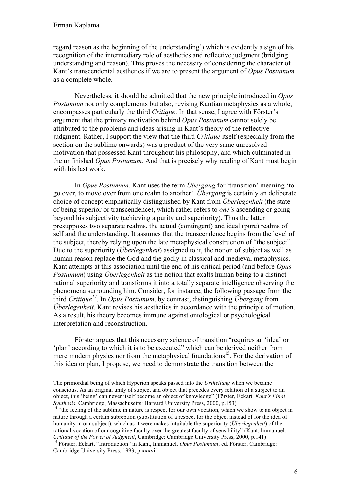$\overline{a}$ 

regard reason as the beginning of the understanding') which is evidently a sign of his recognition of the intermediary role of aesthetics and reflective judgment (bridging understanding and reason). This proves the necessity of considering the character of Kant's transcendental aesthetics if we are to present the argument of *Opus Postumum* as a complete whole.

Nevertheless, it should be admitted that the new principle introduced in *Opus Postumum* not only complements but also, revising Kantian metaphysics as a whole, encompasses particularly the third *Critique*. In that sense, I agree with Förster's argument that the primary motivation behind *Opus Postumum* cannot solely be attributed to the problems and ideas arising in Kant's theory of the reflective judgment. Rather, I support the view that the third *Critique* itself (especially from the section on the sublime onwards) was a product of the very same unresolved motivation that possessed Kant throughout his philosophy, and which culminated in the unfinished *Opus Postumum.* And that is precisely why reading of Kant must begin with his last work.

In *Opus Postumum,* Kant uses the term *Übergang* for 'transition' meaning 'to go over, to move over from one realm to another'. *Übergang* is certainly an deliberate choice of concept emphatically distinguished by Kant from *Überlegenheit* (the state of being superior or transcendence), which rather refers to *one's* ascending or going beyond his subjectivity (achieving a purity and superiority). Thus the latter presupposes two separate realms, the actual (contingent) and ideal (pure) realms of self and the understanding. It assumes that the transcendence begins from the level of the subject, thereby relying upon the late metaphysical construction of "the subject". Due to the superiority (*Überlegenheit*) assigned to it, the notion of subject as well as human reason replace the God and the godly in classical and medieval metaphysics. Kant attempts at this association until the end of his critical period (and before *Opus Postumum*) using *Überlegenheit* as the notion that exalts human being to a distinct rational superiority and transforms it into a totally separate intelligence observing the phenomena surrounding him. Consider, for instance, the following passage from the third *Critique<sup>14</sup>*. In *Opus Postumum*, by contrast, distinguishing *Übergang* from *Überlegenheit*, Kant revises his aesthetics in accordance with the principle of motion. As a result, his theory becomes immune against ontological or psychological interpretation and reconstruction.

Förster argues that this necessary science of transition "requires an 'idea' or 'plan' according to which it is to be executed" which can be derived neither from mere modern physics nor from the metaphysical foundations<sup>15</sup>. For the derivation of this idea or plan, I propose, we need to demonstrate the transition between the

The primordial being of which Hyperion speaks passed into the *Urtheilung* when we became conscious. As an original unity of subject and object that precedes every relation of a subject to an object, this 'being' can never itself become an object of knowledge" (Förster, Eckart. *Kant's Final Synthesis*, Cambridge, Massachusetts: Harvard University Press, 2000, p.153)<br><sup>14</sup> "the feeling of the sublime in nature is respect for our own vocation, which we show to an object in

nature through a certain subreption (substitution of a respect for the object instead of for the idea of humanity in our subject), which as it were makes intuitable the superiority (*Überlegenheit*) of the rational vocation of our cognitive faculty over the greatest faculty of sensibility" (Kant, Immanuel. *Critique of the Power of Judgment*, Cambridge: Cambridge University Press, 2000, p.141) <sup>15</sup> Förster, Eckart, "Introduction" in Kant, Immanuel. *Opus Postumum*, ed. Förster, Cambridge:

Cambridge University Press, 1993, p.xxxvii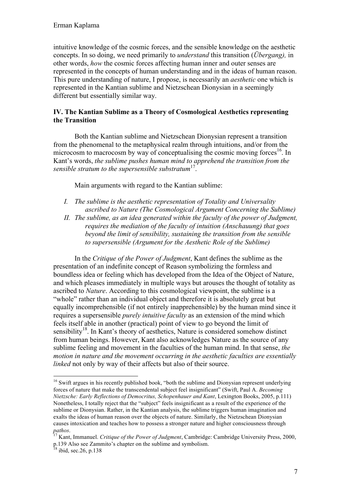intuitive knowledge of the cosmic forces, and the sensible knowledge on the aesthetic concepts. In so doing, we need primarily to *understand* this transition (*Übergang),* in other words, *how* the cosmic forces affecting human inner and outer senses are represented in the concepts of human understanding and in the ideas of human reason. This pure understanding of nature, I propose, is necessarily an *aesthetic* one which is represented in the Kantian sublime and Nietzschean Dionysian in a seemingly different but essentially similar way.

### **IV. The Kantian Sublime as a Theory of Cosmological Aesthetics representing the Transition**

Both the Kantian sublime and Nietzschean Dionysian represent a transition from the phenomenal to the metaphysical realm through intuitions, and/or from the microcosm to macrocosm by way of conceptualising the cosmic moving forces<sup>16</sup>. In Kant's words, *the sublime pushes human mind to apprehend the transition from the sensible stratum to the supersensible substratum*17.

Main arguments with regard to the Kantian sublime:

- *I. The sublime is the aesthetic representation of Totality and Universality ascribed to Nature (The Cosmological Argument Concerning the Sublime)*
- *II. The sublime, as an idea generated within the faculty of the power of Judgment, requires the mediation of the faculty of intuition (Anschauung) that goes beyond the limit of sensibility, sustaining the transition from the sensible to supersensible (Argument for the Aesthetic Role of the Sublime)*

In the *Critique of the Power of Judgment*, Kant defines the sublime as the presentation of an indefinite concept of Reason symbolizing the formless and boundless idea or feeling which has developed from the Idea of the Object of Nature, and which pleases immediately in multiple ways but arouses the thought of totality as ascribed to *Nature*. According to this cosmological viewpoint, the sublime is a "whole" rather than an individual object and therefore it is absolutely great but equally incomprehensible (if not entirely inapprehensible) by the human mind since it requires a supersensible *purely intuitive faculty* as an extension of the mind which feels itself able in another (practical) point of view to go beyond the limit of sensibility<sup>18</sup>. In Kant's theory of aesthetics, Nature is considered somehow distinct from human beings. However, Kant also acknowledges Nature as the source of any sublime feeling and movement in the faculties of the human mind. In that sense, *the motion in nature and the movement occurring in the aesthetic faculties are essentially linked* not only by way of their affects but also of their source.

<sup>&</sup>lt;sup>16</sup> Swift argues in his recently published book, "both the sublime and Dionysian represent underlying forces of nature that make the transcendental subject feel insignificant" (Swift, Paul A. *Becoming Nietzsche: Early Reflections of Democritus, Schopenhauer and Kant*, Lexington Books, 2005, p.111) Nonetheless, I totally reject that the "subject" feels insignificant as a result of the experience of the sublime or Dionysian. Rather, in the Kantian analysis, the sublime triggers human imagination and exalts the ideas of human reason over the objects of nature. Similarly, the Nietzschean Dionysian causes intoxication and teaches how to possess a stronger nature and higher consciousness through pathos.

*Kant, Immanuel. <i>Critique of the Power of Judgment*, Cambridge: Cambridge University Press, 2000, p.139 Also see Zammito's chapter on the sublime and symbolism.

 $18$  ibid, sec. 26, p. 138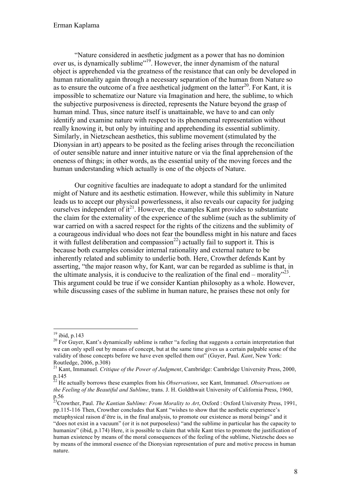"Nature considered in aesthetic judgment as a power that has no dominion over us, is dynamically sublime"19. However, the inner dynamism of the natural object is apprehended via the greatness of the resistance that can only be developed in human rationality again through a necessary separation of the human from Nature so as to ensure the outcome of a free aesthetical judgment on the latter<sup>20</sup>. For Kant, it is impossible to schematize our Nature via Imagination and here, the sublime, to which the subjective purposiveness is directed, represents the Nature beyond the grasp of human mind. Thus, since nature itself is unattainable, we have to and can only identify and examine nature with respect to its phenomenal representation without really knowing it, but only by intuiting and apprehending its essential sublimity. Similarly, in Nietzschean aesthetics, this sublime movement (stimulated by the Dionysian in art) appears to be posited as the feeling arises through the reconciliation of outer sensible nature and inner intuitive nature or via the final apprehension of the oneness of things; in other words, as the essential unity of the moving forces and the human understanding which actually is one of the objects of Nature.

Our cognitive faculties are inadequate to adopt a standard for the unlimited might of Nature and its aesthetic estimation. However, while this sublimity in Nature leads us to accept our physical powerlessness, it also reveals our capacity for judging ourselves independent of  $it^{21}$ . However, the examples Kant provides to substantiate the claim for the externality of the experience of the sublime (such as the sublimity of war carried on with a sacred respect for the rights of the citizens and the sublimity of a courageous individual who does not fear the boundless might in his nature and faces it with fullest deliberation and compassion<sup>22</sup>) actually fail to support it. This is because both examples consider internal rationality and external nature to be inherently related and sublimity to underlie both. Here, Crowther defends Kant by asserting, "the major reason why, for Kant, war can be regarded as sublime is that, in the ultimate analysis, it is conducive to the realization of the final end – morality $^{323}$ . This argument could be true if we consider Kantian philosophy as a whole. However, while discussing cases of the sublime in human nature, he praises these not only for

<sup>&</sup>lt;sup>19</sup> ibid, p.143<br><sup>20</sup> For Guyer, Kant's dynamically sublime is rather "a feeling that suggests a certain interpretation that we can only spell out by means of concept, but at the same time gives us a certain palpable sense of the validity of those concepts before we have even spelled them out" (Guyer, Paul. *Kant*, New York: Routledge, 2006, p.308)

<sup>21</sup> Kant, Immanuel. *Critique of the Power of Judgment*, Cambridge: Cambridge University Press, 2000, p.145

<sup>22</sup> He actually borrows these examples from his *Observations*, see Kant, Immanuel. *Observations on the Feeling of the Beautiful and Sublime*, trans. J. H. Goldthwait University of California Press, 1960, p.56

<sup>23</sup>Crowther, Paul. *The Kantian Sublime: From Morality to Art*, Oxford : Oxford University Press, 1991, pp.115-116 Then, Crowther concludes that Kant "wishes to show that the aesthetic experience's metaphysical raison d'être is, in the final analysis, to promote our existence as moral beings" and it "does not exist in a vacuum" (or it is not purposeless) "and the sublime in particular has the capacity to humanize" (ibid, p.174) Here, it is possible to claim that while Kant tries to promote the justification of human existence by means of the moral consequences of the feeling of the sublime, Nietzsche does so by means of the immoral essence of the Dionysian representation of pure and motive process in human nature.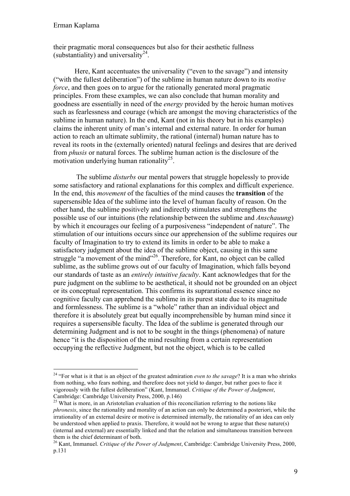their pragmatic moral consequences but also for their aesthetic fullness (substantiality) and universality<sup>24</sup>.

Here, Kant accentuates the universality ("even to the savage") and intensity ("with the fullest deliberation") of the sublime in human nature down to its *motive force*, and then goes on to argue for the rationally generated moral pragmatic principles. From these examples, we can also conclude that human morality and goodness are essentially in need of the *energy* provided by the heroic human motives such as fearlessness and courage (which are amongst the moving characteristics of the sublime in human nature). In the end, Kant (not in his theory but in his examples) claims the inherent unity of man's internal and external nature. In order for human action to reach an ultimate sublimity, the rational (internal) human nature has to reveal its roots in the (externally oriented) natural feelings and desires that are derived from *phusis* or natural forces. The sublime human action is the disclosure of the motivation underlying human rationality<sup>25</sup>.

The sublime *disturbs* our mental powers that struggle hopelessly to provide some satisfactory and rational explanations for this complex and difficult experience. In the end, this *movement* of the faculties of the mind causes the **transition** of the supersensible Idea of the sublime into the level of human faculty of reason. On the other hand, the sublime positively and indirectly stimulates and strengthens the possible use of our intuitions (the relationship between the sublime and *Anschauung*) by which it encourages our feeling of a purposiveness "independent of nature". The stimulation of our intuitions occurs since our apprehension of the sublime requires our faculty of Imagination to try to extend its limits in order to be able to make a satisfactory judgment about the idea of the sublime object, causing in this same struggle "a movement of the mind"<sup>26</sup>. Therefore, for Kant, no object can be called sublime, as the sublime grows out of our faculty of Imagination, which falls beyond our standards of taste as an *entirely intuitive faculty*. Kant acknowledges that for the pure judgment on the sublime to be aesthetical, it should not be grounded on an object or its conceptual representation. This confirms its suprarational essence since no cognitive faculty can apprehend the sublime in its purest state due to its magnitude and formlessness. The sublime is a "whole" rather than an individual object and therefore it is absolutely great but equally incomprehensible by human mind since it requires a supersensible faculty. The Idea of the sublime is generated through our determining Judgment and is not to be sought in the things (phenomena) of nature hence "it is the disposition of the mind resulting from a certain representation occupying the reflective Judgment, but not the object, which is to be called

<sup>&</sup>lt;sup>24</sup> "For what is it that is an object of the greatest admiration *even to the savage*? It is a man who shrinks from nothing, who fears nothing, and therefore does not yield to danger, but rather goes to face it vigorously with the fullest deliberation" (Kant, Immanuel. *Critique of the Power of Judgment*,

<sup>&</sup>lt;sup>25</sup> What is more, in an Aristotelian evaluation of this reconciliation referring to the notions like *phronesis*, since the rationality and morality of an action can only be determined a posteriori, while the irrationality of an external desire or motive is determined internally, the rationality of an idea can only be understood when applied to praxis. Therefore, it would not be wrong to argue that these nature(s) (internal and external) are essentially linked and that the relation and simultaneous transition between them is the chief determinant of both.

<sup>26</sup> Kant, Immanuel. *Critique of the Power of Judgment*, Cambridge: Cambridge University Press, 2000, p.131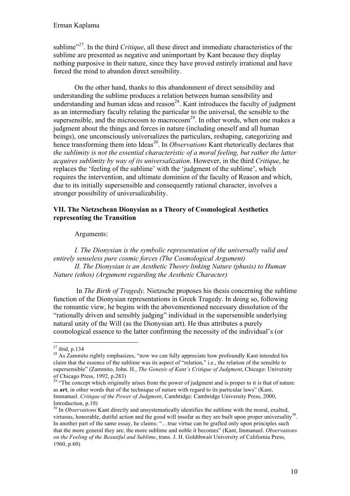sublime<sup>"27</sup>. In the third *Critique*, all these direct and immediate characteristics of the sublime are presented as negative and unimportant by Kant because they display nothing purposive in their nature, since they have proved entirely irrational and have forced the mind to abandon direct sensibility.

On the other hand, thanks to this abandonment of direct sensibility and understanding the sublime produces a relation between human sensibility and understanding and human ideas and reason<sup>28</sup>. Kant introduces the faculty of judgment as an intermediary faculty relating the particular to the universal, the sensible to the supersensible, and the microcosm to macrocosm<sup>29</sup>. In other words, when one makes a judgment about the things and forces in nature (including oneself and all human beings), one unconsciously universalizes the particulars, reshaping, categorizing and hence transforming them into Ideas<sup>30</sup>. In *Observations* Kant rhetorically declares that *the sublimity is not the essential characteristic of a moral feeling, but rather the latter acquires sublimity by way of its universalization*. However, in the third *Critique*, he replaces the 'feeling of the sublime' with the 'judgment of the sublime', which requires the intervention, and ultimate dominion of the faculty of Reason and which, due to its initially supersensible and consequently rational character, involves a stronger possibility of universalizability.

### **VII. The Nietzschean Dionysian as a Theory of Cosmological Aesthetics representing the Transition**

#### Arguments:

*I. The Dionysian is the symbolic representation of the universally valid and entirely senseless pure cosmic forces (The Cosmological Argument) II. The Dionysian is an Aesthetic Theory linking Nature (phusis) to Human Nature (ethos) (Argument regarding the Aesthetic Character)*

In *The Birth of Tragedy,* Nietzsche proposes his thesis concerning the sublime function of the Dionysian representations in Greek Tragedy. In doing so, following the romantic view, he begins with the abovementioned necessary dissolution of the "rationally driven and sensibly judging" individual in the supersensible underlying natural unity of the Will (as the Dionysian art). He thus attributes a purely cosmological essence to the latter confirming the necessity of the individual's (or

<sup>&</sup>lt;sup>27</sup> ibid, p.134<br><sup>28</sup> As Zammito rightly emphasizes, "now we can fully appreciate how profoundly Kant intended his claim that the essence of the sublime was its aspect of "relation," i.e., the relation of the sensible to supersensible" (Zammito, John. H., *The Genesis of Kant's Critique of Judgment*, Chicago: University of Chicago Press, 1992, p.283)

<sup>&</sup>lt;sup>29</sup> "The concept which originally arises from the power of judgment and is proper to it is that of nature as **art**, in other words that of the technique of nature with regard to its particular laws" (Kant, Immanuel. *Critique of the Power of Judgment*, Cambridge: Cambridge University Press, 2000, Introduction, p.10)

<sup>&</sup>lt;sup>30</sup> In *Observations* Kant directly and unsystematically identifies the sublime with the moral, exalted, virtuous, honorable, dutiful action and the good will insofar as they are built upon proper universality<sup>30</sup>. In another part of the same essay, he claims: "...true virtue can be grafted only upon principles such that the more general they are, the more sublime and noble it becomes" (Kant, Immanuel. *Observations on the Feeling of the Beautiful and Sublime*, trans. J. H. Goldthwait University of California Press, 1960, p.60)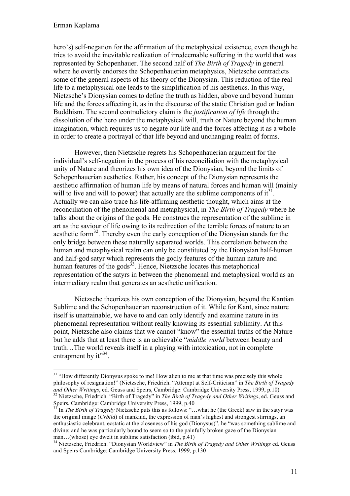#### Erman Kaplama

hero's) self-negation for the affirmation of the metaphysical existence, even though he tries to avoid the inevitable realization of irredeemable suffering in the world that was represented by Schopenhauer. The second half of *The Birth of Tragedy* in general where he overtly endorses the Schopenhauerian metaphysics, Nietzsche contradicts some of the general aspects of his theory of the Dionysian. This reduction of the real life to a metaphysical one leads to the simplification of his aesthetics. In this way, Nietzsche's Dionysian comes to define the truth as hidden, above and beyond human life and the forces affecting it, as in the discourse of the static Christian god or Indian Buddhism. The second contradictory claim is the *justification of life* through the dissolution of the hero under the metaphysical will, truth or Nature beyond the human imagination, which requires us to negate our life and the forces affecting it as a whole in order to create a portrayal of that life beyond and unchanging realm of forms.

However, then Nietzsche regrets his Schopenhauerian argument for the individual's self-negation in the process of his reconciliation with the metaphysical unity of Nature and theorizes his own idea of the Dionysian, beyond the limits of Schopenhauerian aesthetics. Rather, his concept of the Dionysian represents the aesthetic affirmation of human life by means of natural forces and human will (mainly will to live and will to power) that actually are the sublime components of  $it^{31}$ . Actually we can also trace his life-affirming aesthetic thought, which aims at the reconciliation of the phenomenal and metaphysical, in *The Birth of Tragedy* where he talks about the origins of the gods. He construes the representation of the sublime in art as the saviour of life owing to its redirection of the terrible forces of nature to an aesthetic form $32$ . Thereby even the early conception of the Dionysian stands for the only bridge between these naturally separated worlds. This correlation between the human and metaphysical realm can only be constituted by the Dionysian half-human and half-god satyr which represents the godly features of the human nature and human features of the gods<sup>33</sup>. Hence, Nietzsche locates this metaphorical representation of the satyrs in between the phenomenal and metaphysical world as an intermediary realm that generates an aesthetic unification.

Nietzsche theorizes his own conception of the Dionysian, beyond the Kantian Sublime and the Schopenhauerian reconstruction of it. While for Kant, since nature itself is unattainable, we have to and can only identify and examine nature in its phenomenal representation without really knowing its essential sublimity. At this point, Nietzsche also claims that we cannot "know" the essential truths of the Nature but he adds that at least there is an achievable "*middle world* between beauty and truth…The world reveals itself in a playing with intoxication, not in complete entrapment by  $it^{\prime\prime}$ <sup>34</sup>.

<sup>&</sup>lt;sup>31</sup> "How differently Dionysus spoke to me! How alien to me at that time was precisely this whole philosophy of resignation!" (Nietzsche, Friedrich. "Attempt at Self-Criticism" in *The Birth of Tragedy and Other Writings*, ed. Geuss and Speirs, Cambridge: Cambridge University Press, 1999, p.10)<br><sup>32</sup> Nietzsche, Friedrich. "Birth of Tragedy" in *The Birth of Tragedy and Other Writings*, ed. Geuss and Speirs, Cambridge: Cambridge University Press, 1999, p.40

<sup>&</sup>lt;sup>33</sup> In *The Birth of Tragedy* Nietzsche puts this as follows: "...what he (the Greek) saw in the satyr was the original image (*Urbild*) of mankind, the expression of man's highest and strongest stirrings, an enthusiastic celebrant, ecstatic at the closeness of his god (Dionysus)", he "was something sublime and divine; and he was particularly bound to seem so to the painfully broken gaze of the Dionysian man…(whose) eye dwelt in sublime satisfaction (ibid, p.41)

<sup>34</sup> Nietzsche, Friedrich. "Dionysian Worldview" in *The Birth of Tragedy and Other Writings* ed. Geuss and Speirs Cambridge: Cambridge University Press, 1999, p.130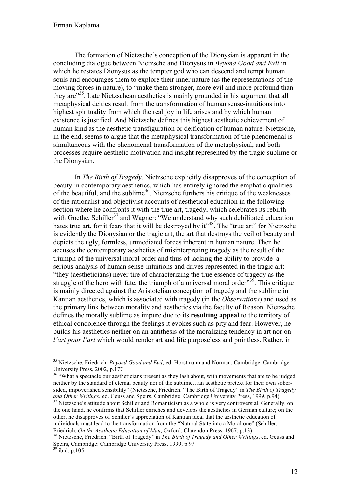The formation of Nietzsche's conception of the Dionysian is apparent in the concluding dialogue between Nietzsche and Dionysus in *Beyond Good and Evil* in which he restates Dionysus as the tempter god who can descend and tempt human souls and encourages them to explore their inner nature (as the representations of the moving forces in nature), to "make them stronger, more evil and more profound than they are"35. Late Nietzschean aesthetics is mainly grounded in his argument that all metaphysical deities result from the transformation of human sense-intuitions into highest spirituality from which the real joy in life arises and by which human existence is justified. And Nietzsche defines this highest aesthetic achievement of human kind as the aesthetic transfiguration or deification of human nature. Nietzsche, in the end, seems to argue that the metaphysical transformation of the phenomenal is simultaneous with the phenomenal transformation of the metaphysical, and both processes require aesthetic motivation and insight represented by the tragic sublime or the Dionysian.

In *The Birth of Tragedy*, Nietzsche explicitly disapproves of the conception of beauty in contemporary aesthetics, which has entirely ignored the emphatic qualities of the beautiful, and the sublime<sup>36</sup>. Nietzsche furthers his critique of the weaknesses of the rationalist and objectivist accounts of aesthetical education in the following section where he confronts it with the true art, tragedy, which celebrates its rebirth with Goethe, Schiller<sup>37</sup> and Wagner: "We understand why such debilitated education hates true art, for it fears that it will be destroyed by it"<sup>38</sup>. The "true art" for Nietzsche is evidently the Dionysian or the tragic art, the art that destroys the veil of beauty and depicts the ugly, formless, unmediated forces inherent in human nature. Then he accuses the contemporary aesthetics of misinterpreting tragedy as the result of the triumph of the universal moral order and thus of lacking the ability to provide a serious analysis of human sense-intuitions and drives represented in the tragic art: "they (aestheticians) never tire of characterizing the true essence of tragedy as the struggle of the hero with fate, the triumph of a universal moral order<sup> $39$ </sup>. This critique is mainly directed against the Aristotelian conception of tragedy and the sublime in Kantian aesthetics, which is associated with tragedy (in the *Observations*) and used as the primary link between morality and aesthetics via the faculty of Reason. Nietzsche defines the morally sublime as impure due to its **resulting appeal** to the territory of ethical condolence through the feelings it evokes such as pity and fear. However, he builds his aesthetics neither on an antithesis of the moralizing tendency in art nor on *l'art pour l'art* which would render art and life purposeless and pointless. Rather, in

 <sup>35</sup> Nietzsche, Friedrich. *Beyond Good and Evil*, ed. Horstmann and Norman, Cambridge: Cambridge University Press, 2002, p.177

<sup>&</sup>lt;sup>36</sup> "What a spectacle our aestheticians present as they lash about, with movements that are to be judged neither by the standard of eternal beauty nor of the sublime…an aesthetic pretext for their own sobersided, impoverished sensibility" (Nietzsche, Friedrich. "The Birth of Tragedy" in *The Birth of Tragedy* 

<sup>&</sup>lt;sup>37</sup> Nietzsche's attitude about Schiller and Romanticism as a whole is very controversial. Generally, on the one hand, he confirms that Schiller enriches and develops the aesthetics in German culture; on the other, he disapproves of Schiller's appreciation of Kantian ideal that the aesthetic education of individuals must lead to the transformation from the "Natural State into a Moral one" (Schiller, Friedrich, *On the Aesthetic Education of Man*, Oxford: Clarendon Press, 1967, p.13)<br><sup>38</sup> Nietzsche, Friedrich. "Birth of Tragedy" in *The Birth of Tragedy and Other Writings*, ed. Geuss and

Speirs, Cambridge: Cambridge University Press, 1999, p.97<br><sup>39</sup> ibid, p.105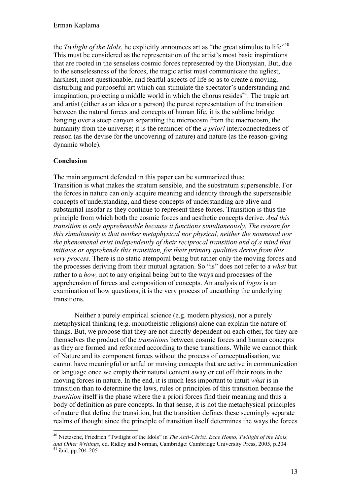the *Twilight of the Idols*, he explicitly announces art as "the great stimulus to life"<sup>40</sup>. This must be considered as the representation of the artist's most basic inspirations that are rooted in the senseless cosmic forces represented by the Dionysian. But, due to the senselessness of the forces, the tragic artist must communicate the ugliest, harshest, most questionable, and fearful aspects of life so as to create a moving, disturbing and purposeful art which can stimulate the spectator's understanding and imagination, projecting a middle world in which the chorus resides<sup>41</sup>. The tragic art and artist (either as an idea or a person) the purest representation of the transition between the natural forces and concepts of human life, it is the sublime bridge hanging over a steep canyon separating the microcosm from the macrocosm, the humanity from the universe; it is the reminder of the *a priori* interconnectedness of reason (as the devise for the uncovering of nature) and nature (as the reason-giving dynamic whole).

## **Conclusion**

The main argument defended in this paper can be summarized thus: Transition is what makes the stratum sensible, and the substratum supersensible. For the forces in nature can only acquire meaning and identity through the supersensible concepts of understanding, and these concepts of understanding are alive and substantial insofar as they continue to represent these forces. Transition is thus the principle from which both the cosmic forces and aesthetic concepts derive. *And this transition is only apprehensible because it functions simultaneously. The reason for this simultaneity is that neither metaphysical nor physical, neither the noumenal nor the phenomenal exist independently of their reciprocal transition and of a mind that initiates or apprehends this transition, for their primary qualities derive from this very process.* There is no static atemporal being but rather only the moving forces and the processes deriving from their mutual agitation. So "is" does not refer to a *what* but rather to a *how,* not to any original being but to the ways and processes of the apprehension of forces and composition of concepts. An analysis of *logos* is an examination of how questions, it is the very process of unearthing the underlying transitions.

Neither a purely empirical science (e.g. modern physics), nor a purely metaphysical thinking (e.g. monotheistic religions) alone can explain the nature of things. But, we propose that they are not directly dependent on each other, for they are themselves the product of the *transitions* between cosmic forces and human concepts as they are formed and reformed according to these transitions. While we cannot think of Nature and its component forces without the process of conceptualisation, we cannot have meaningful or artful or moving concepts that are active in communication or language once we empty their natural content away or cut off their roots in the moving forces in nature. In the end, it is much less important to intuit *what* is in transition than to determine the laws, rules or principles of this transition because the *transition* itself is the phase where the a priori forces find their meaning and thus a body of definition as pure concepts. In that sense, it is not the metaphysical principles of nature that define the transition, but the transition defines these seemingly separate realms of thought since the principle of transition itself determines the ways the forces

 <sup>40</sup> Nietzsche, Friedrich "Twilight of the Idols" in *The Anti-Christ, Ecce Homo, Twilight of the Idols, and Other Writings*, ed. Ridley and Norman, Cambridge: Cambridge University Press, 2005, p.204 <sup>41</sup> ibid, pp.204-205